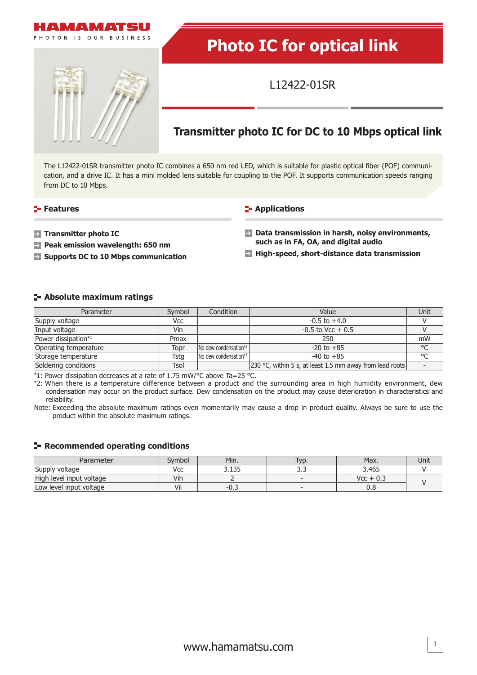

# **Photo IC for optical link**

L12422-01SR

## **Transmitter photo IC for DC to 10 Mbps optical link**

The L12422-01SR transmitter photo IC combines a 650 nm red LED, which is suitable for plastic optical fiber (POF) communication, and a drive IC. It has a mini molded lens suitable for coupling to the POF. It supports communication speeds ranging from DC to 10 Mbps.

#### **Features CONSIDER Applications**

- $\rightarrow$ **Transmitter photo IC**
- **Peak emission wavelength: 650 nm**
- **Supports DC to 10 Mbps communication**

#### **Data transmission in harsh, noisy environments, such as in FA, OA, and digital audio**

**High-speed, short-distance data transmission**

#### **Absolute maximum ratings**

| Parameter             | Symbol      | Condition                                 | Value                                                    | Unit |
|-----------------------|-------------|-------------------------------------------|----------------------------------------------------------|------|
| Supply voltage        | Vcc         |                                           | $-0.5$ to $+4.0$                                         |      |
| Input voltage         | Vin         |                                           | $-0.5$ to Vcc $+0.5$                                     |      |
| Power dissipation*1   | Pmax        |                                           | 250                                                      | mW   |
| Operating temperature | Topr        | $\sqrt{N}$ dew condensation <sup>*2</sup> | $-20$ to $+85$                                           | °C   |
| Storage temperature   | Tsta        | $\sqrt{N}$ dew condensation*2             | $-40$ to $+85$                                           | °C   |
| Soldering conditions  | <b>Tsol</b> |                                           | 230 °C, within 5 s, at least 1.5 mm away from lead roots |      |

\*1: Power dissipation decreases at a rate of 1.75 mW/°C above Ta=25 °C.

\*2: When there is a temperature difference between a product and the surrounding area in high humidity environment, dew condensation may occur on the product surface. Dew condensation on the product may cause deterioration in characteristics and reliability.

Note: Exceeding the absolute maximum ratings even momentarily may cause a drop in product quality. Always be sure to use the product within the absolute maximum ratings.

#### **Recommended operating conditions**

| Parameter                | Svmbol | Min.           | lyp. | Max.        | Unit |
|--------------------------|--------|----------------|------|-------------|------|
| Supply voltage           | Vcc    | . 135<br>J.LJJ | ---  | 3.465       |      |
| High level input voltage | Vih    |                |      | $Vcc + 0.3$ |      |
| Low level input voltage  | Vil    | $-U.$          |      | v.o         |      |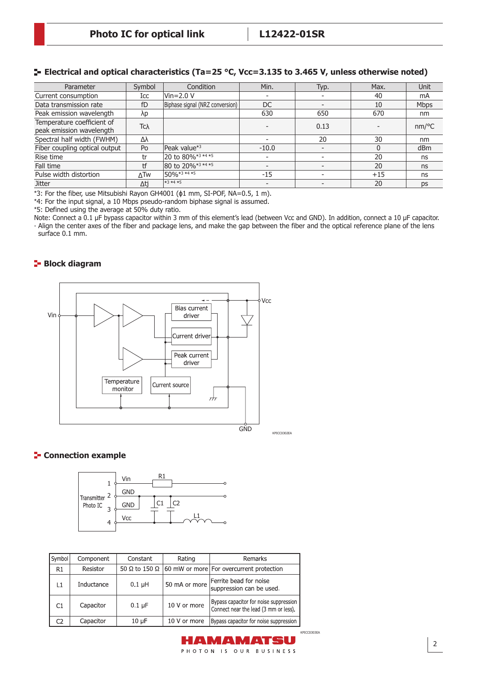#### **Electrical and optical characteristics (Ta=25 °C, Vcc=3.135 to 3.465 V, unless otherwise noted)**

| Parameter                                              | Symbol     | Condition                          | Min.                     | Typ. | Max.  | Unit        |
|--------------------------------------------------------|------------|------------------------------------|--------------------------|------|-------|-------------|
| Current consumption                                    | Icc        | $Vir=2.0 V$                        |                          |      | 40    | mA          |
| Data transmission rate                                 | fD         | Biphase signal (NRZ conversion)    | DC                       |      | 10    | <b>Mbps</b> |
| Peak emission wavelength                               | λp         |                                    | 630                      | 650  | 670   | nm          |
| Temperature coefficient of<br>peak emission wavelength | Tcλ        |                                    |                          | 0.13 |       | nm/°C       |
| Spectral half width (FWHM)                             | Δλ         |                                    |                          | 20   | 30    | nm          |
| Fiber coupling optical output                          | Po         | Peak value* <sup>3</sup>           | $-10.0$                  |      |       | dBm         |
| Rise time                                              | tr         | 20 to 80% <sup>*3</sup> *4 *5      |                          |      | 20    | ns          |
| Fall time                                              | tf         | 80 to 20%*3 *4 *5                  |                          |      | 20    | ns          |
| Pulse width distortion                                 | <b>ATW</b> | $150\% \times 3 \times 4 \times 5$ | $-15$                    |      | $+15$ | ns          |
| <b>Jitter</b>                                          | Δti        | $*3*4*5$                           | $\overline{\phantom{a}}$ |      | 20    | <b>DS</b>   |

\*3: For the fiber, use Mitsubishi Rayon GH4001 (ϕ1 mm, SI-POF, NA=0.5, 1 m).

\*4: For the input signal, a 10 Mbps pseudo-random biphase signal is assumed.

\*5: Defined using the average at 50% duty ratio.

Note: Connect a 0.1 μF bypass capacitor within 3 mm of this element's lead (between Vcc and GND). In addition, connect a 10 μF capacitor. ∙ Align the center axes of the fiber and package lens, and make the gap between the fiber and the optical reference plane of the lens surface 0.1 mm.

#### **Block diagram**



#### KPICC0302EA

#### **E-** Connection example



| Symbol | Component  | Constant              | Rating        | Remarks                                                                         |  |
|--------|------------|-----------------------|---------------|---------------------------------------------------------------------------------|--|
| R1     | Resistor   | 50 Ω to 150 Ω $\vert$ |               | 60 mW or more For overcurrent protection                                        |  |
| l 1    | Inductance | $0.1$ µH              | 50 mA or more | Ferrite bead for noise<br>suppression can be used.                              |  |
| C1     | Capacitor  | $0.1 \mu F$           | 10 V or more  | Bypass capacitor for noise suppression<br>Connect near the lead (3 mm or less). |  |
| C2     | Capacitor  | $10 \mu F$            | 10 V or more  | Bypass capacitor for noise suppression                                          |  |